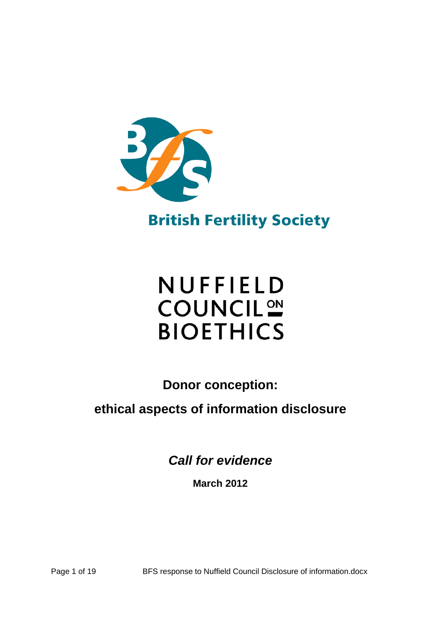

**British Fertility Society** 

# NUFFIELD **COUNCIL<sup>ON</sup> BIOETHICS**

**Donor conception:** 

**ethical aspects of information disclosure** 

*Call for evidence* 

**March 2012** 

Page 1 of 19 BFS response to Nuffield Council Disclosure of information.docx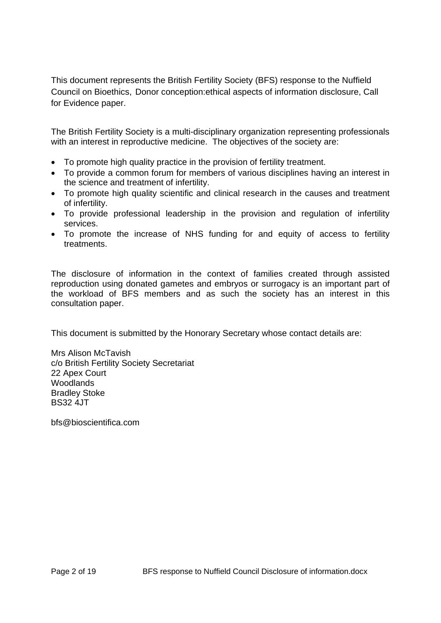This document represents the British Fertility Society (BFS) response to the Nuffield Council on Bioethics, Donor conception:ethical aspects of information disclosure, Call for Evidence paper.

The British Fertility Society is a multi-disciplinary organization representing professionals with an interest in reproductive medicine. The objectives of the society are:

- To promote high quality practice in the provision of fertility treatment.
- To provide a common forum for members of various disciplines having an interest in the science and treatment of infertility.
- To promote high quality scientific and clinical research in the causes and treatment of infertility.
- To provide professional leadership in the provision and regulation of infertility services.
- To promote the increase of NHS funding for and equity of access to fertility treatments.

The disclosure of information in the context of families created through assisted reproduction using donated gametes and embryos or surrogacy is an important part of the workload of BFS members and as such the society has an interest in this consultation paper.

This document is submitted by the Honorary Secretary whose contact details are:

Mrs Alison McTavish c/o British Fertility Society Secretariat 22 Apex Court Woodlands Bradley Stoke BS32 4JT

bfs@bioscientifica.com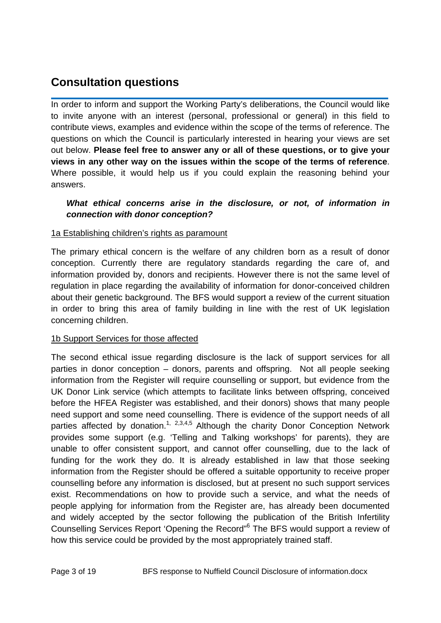# **Consultation questions**

In order to inform and support the Working Party's deliberations, the Council would like to invite anyone with an interest (personal, professional or general) in this field to contribute views, examples and evidence within the scope of the terms of reference. The questions on which the Council is particularly interested in hearing your views are set out below. **Please feel free to answer any or all of these questions, or to give your views in any other way on the issues within the scope of the terms of reference**. Where possible, it would help us if you could explain the reasoning behind your answers.

#### *What ethical concerns arise in the disclosure, or not, of information in connection with donor conception?*

#### 1a Establishing children's rights as paramount

The primary ethical concern is the welfare of any children born as a result of donor conception. Currently there are regulatory standards regarding the care of, and information provided by, donors and recipients. However there is not the same level of regulation in place regarding the availability of information for donor-conceived children about their genetic background. The BFS would support a review of the current situation in order to bring this area of family building in line with the rest of UK legislation concerning children.

#### 1b Support Services for those affected

The second ethical issue regarding disclosure is the lack of support services for all parties in donor conception – donors, parents and offspring. Not all people seeking information from the Register will require counselling or support, but evidence from the UK Donor Link service (which attempts to facilitate links between offspring, conceived before the HFEA Register was established, and their donors) shows that many people need support and some need counselling. There is evidence of the support needs of all parties affected by donation.<sup>1, 2,3,4,5</sup> Although the charity Donor Conception Network provides some support (e.g. 'Telling and Talking workshops' for parents), they are unable to offer consistent support, and cannot offer counselling, due to the lack of funding for the work they do. It is already established in law that those seeking information from the Register should be offered a suitable opportunity to receive proper counselling before any information is disclosed, but at present no such support services exist. Recommendations on how to provide such a service, and what the needs of people applying for information from the Register are, has already been documented and widely accepted by the sector following the publication of the British Infertility Counselling Services Report 'Opening the Record"<sup>6</sup> The BFS would support a review of how this service could be provided by the most appropriately trained staff.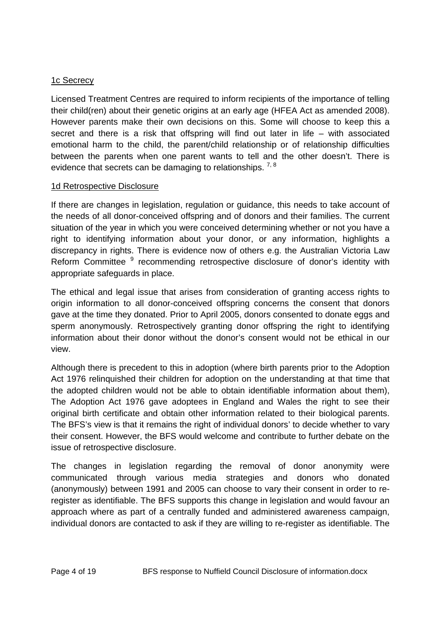### 1c Secrecy

Licensed Treatment Centres are required to inform recipients of the importance of telling their child(ren) about their genetic origins at an early age (HFEA Act as amended 2008). However parents make their own decisions on this. Some will choose to keep this a secret and there is a risk that offspring will find out later in life – with associated emotional harm to the child, the parent/child relationship or of relationship difficulties between the parents when one parent wants to tell and the other doesn't. There is evidence that secrets can be damaging to relationships.  $7,8$ 

#### 1d Retrospective Disclosure

If there are changes in legislation, regulation or guidance, this needs to take account of the needs of all donor-conceived offspring and of donors and their families. The current situation of the year in which you were conceived determining whether or not you have a right to identifying information about your donor, or any information, highlights a discrepancy in rights. There is evidence now of others e.g. the Australian Victoria Law Reform Committee <sup>9</sup> recommending retrospective disclosure of donor's identity with appropriate safeguards in place.

The ethical and legal issue that arises from consideration of granting access rights to origin information to all donor-conceived offspring concerns the consent that donors gave at the time they donated. Prior to April 2005, donors consented to donate eggs and sperm anonymously. Retrospectively granting donor offspring the right to identifying information about their donor without the donor's consent would not be ethical in our view.

Although there is precedent to this in adoption (where birth parents prior to the Adoption Act 1976 relinquished their children for adoption on the understanding at that time that the adopted children would not be able to obtain identifiable information about them), The Adoption Act 1976 gave adoptees in England and Wales the right to see their original birth certificate and obtain other information related to their biological parents. The BFS's view is that it remains the right of individual donors' to decide whether to vary their consent. However, the BFS would welcome and contribute to further debate on the issue of retrospective disclosure.

The changes in legislation regarding the removal of donor anonymity were communicated through various media strategies and donors who donated (anonymously) between 1991 and 2005 can choose to vary their consent in order to reregister as identifiable. The BFS supports this change in legislation and would favour an approach where as part of a centrally funded and administered awareness campaign, individual donors are contacted to ask if they are willing to re-register as identifiable. The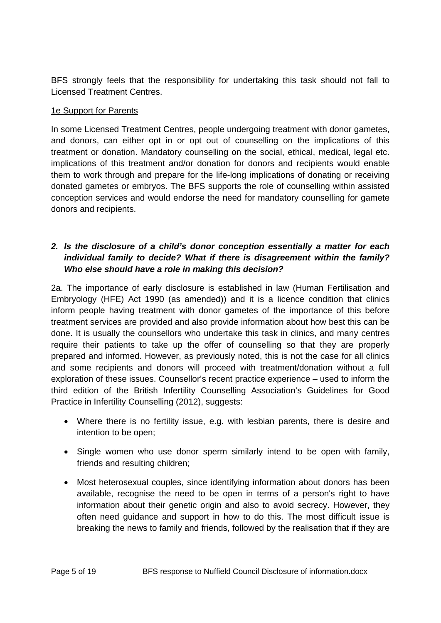BFS strongly feels that the responsibility for undertaking this task should not fall to Licensed Treatment Centres.

#### 1e Support for Parents

In some Licensed Treatment Centres, people undergoing treatment with donor gametes, and donors, can either opt in or opt out of counselling on the implications of this treatment or donation. Mandatory counselling on the social, ethical, medical, legal etc. implications of this treatment and/or donation for donors and recipients would enable them to work through and prepare for the life-long implications of donating or receiving donated gametes or embryos. The BFS supports the role of counselling within assisted conception services and would endorse the need for mandatory counselling for gamete donors and recipients.

### *2. Is the disclosure of a child's donor conception essentially a matter for each individual family to decide? What if there is disagreement within the family? Who else should have a role in making this decision?*

2a. The importance of early disclosure is established in law (Human Fertilisation and Embryology (HFE) Act 1990 (as amended)) and it is a licence condition that clinics inform people having treatment with donor gametes of the importance of this before treatment services are provided and also provide information about how best this can be done. It is usually the counsellors who undertake this task in clinics, and many centres require their patients to take up the offer of counselling so that they are properly prepared and informed. However, as previously noted, this is not the case for all clinics and some recipients and donors will proceed with treatment/donation without a full exploration of these issues. Counsellor's recent practice experience – used to inform the third edition of the British Infertility Counselling Association's Guidelines for Good Practice in Infertility Counselling (2012), suggests:

- Where there is no fertility issue, e.g. with lesbian parents, there is desire and intention to be open;
- Single women who use donor sperm similarly intend to be open with family, friends and resulting children;
- Most heterosexual couples, since identifying information about donors has been available, recognise the need to be open in terms of a person's right to have information about their genetic origin and also to avoid secrecy. However, they often need guidance and support in how to do this. The most difficult issue is breaking the news to family and friends, followed by the realisation that if they are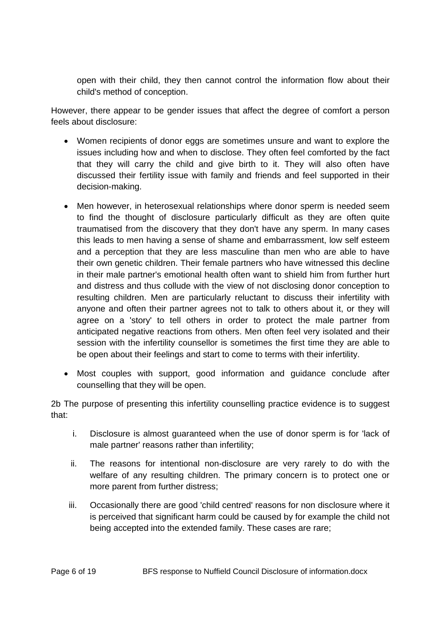open with their child, they then cannot control the information flow about their child's method of conception.

However, there appear to be gender issues that affect the degree of comfort a person feels about disclosure:

- Women recipients of donor eggs are sometimes unsure and want to explore the issues including how and when to disclose. They often feel comforted by the fact that they will carry the child and give birth to it. They will also often have discussed their fertility issue with family and friends and feel supported in their decision-making.
- Men however, in heterosexual relationships where donor sperm is needed seem to find the thought of disclosure particularly difficult as they are often quite traumatised from the discovery that they don't have any sperm. In many cases this leads to men having a sense of shame and embarrassment, low self esteem and a perception that they are less masculine than men who are able to have their own genetic children. Their female partners who have witnessed this decline in their male partner's emotional health often want to shield him from further hurt and distress and thus collude with the view of not disclosing donor conception to resulting children. Men are particularly reluctant to discuss their infertility with anyone and often their partner agrees not to talk to others about it, or they will agree on a 'story' to tell others in order to protect the male partner from anticipated negative reactions from others. Men often feel very isolated and their session with the infertility counsellor is sometimes the first time they are able to be open about their feelings and start to come to terms with their infertility.
- Most couples with support, good information and guidance conclude after counselling that they will be open.

2b The purpose of presenting this infertility counselling practice evidence is to suggest that:

- i. Disclosure is almost guaranteed when the use of donor sperm is for 'lack of male partner' reasons rather than infertility;
- ii. The reasons for intentional non-disclosure are very rarely to do with the welfare of any resulting children. The primary concern is to protect one or more parent from further distress;
- iii. Occasionally there are good 'child centred' reasons for non disclosure where it is perceived that significant harm could be caused by for example the child not being accepted into the extended family. These cases are rare;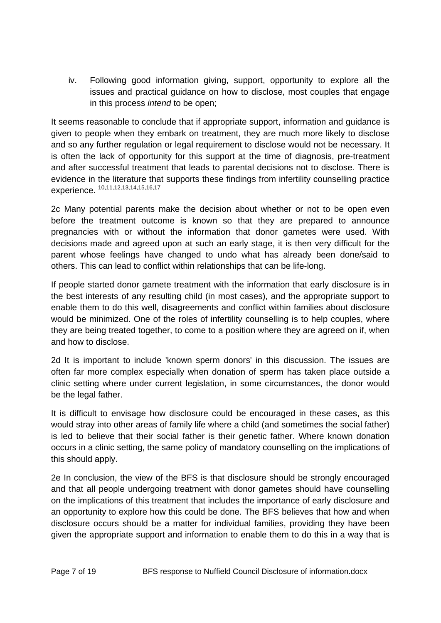iv. Following good information giving, support, opportunity to explore all the issues and practical guidance on how to disclose, most couples that engage in this process *intend* to be open;

It seems reasonable to conclude that if appropriate support, information and guidance is given to people when they embark on treatment, they are much more likely to disclose and so any further regulation or legal requirement to disclose would not be necessary. It is often the lack of opportunity for this support at the time of diagnosis, pre-treatment and after successful treatment that leads to parental decisions not to disclose. There is evidence in the literature that supports these findings from infertility counselling practice experience.<sup>10,11,12,13,14,15,16,17</sup>

2c Many potential parents make the decision about whether or not to be open even before the treatment outcome is known so that they are prepared to announce pregnancies with or without the information that donor gametes were used. With decisions made and agreed upon at such an early stage, it is then very difficult for the parent whose feelings have changed to undo what has already been done/said to others. This can lead to conflict within relationships that can be life-long.

If people started donor gamete treatment with the information that early disclosure is in the best interests of any resulting child (in most cases), and the appropriate support to enable them to do this well, disagreements and conflict within families about disclosure would be minimized. One of the roles of infertility counselling is to help couples, where they are being treated together, to come to a position where they are agreed on if, when and how to disclose.

2d It is important to include 'known sperm donors' in this discussion. The issues are often far more complex especially when donation of sperm has taken place outside a clinic setting where under current legislation, in some circumstances, the donor would be the legal father.

It is difficult to envisage how disclosure could be encouraged in these cases, as this would stray into other areas of family life where a child (and sometimes the social father) is led to believe that their social father is their genetic father. Where known donation occurs in a clinic setting, the same policy of mandatory counselling on the implications of this should apply.

2e In conclusion, the view of the BFS is that disclosure should be strongly encouraged and that all people undergoing treatment with donor gametes should have counselling on the implications of this treatment that includes the importance of early disclosure and an opportunity to explore how this could be done. The BFS believes that how and when disclosure occurs should be a matter for individual families, providing they have been given the appropriate support and information to enable them to do this in a way that is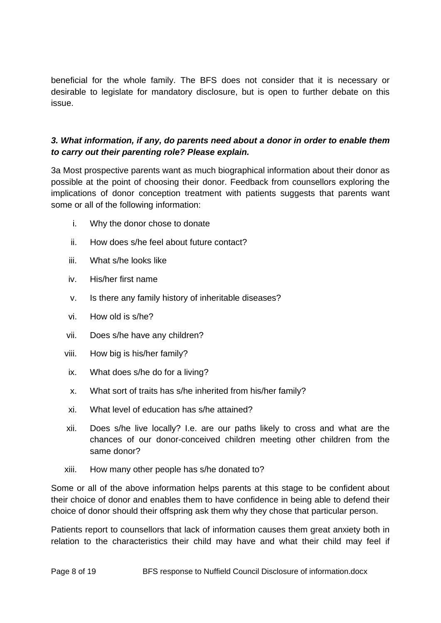beneficial for the whole family. The BFS does not consider that it is necessary or desirable to legislate for mandatory disclosure, but is open to further debate on this issue.

### *3. What information, if any, do parents need about a donor in order to enable them to carry out their parenting role? Please explain.*

3a Most prospective parents want as much biographical information about their donor as possible at the point of choosing their donor. Feedback from counsellors exploring the implications of donor conception treatment with patients suggests that parents want some or all of the following information:

- i. Why the donor chose to donate
- ii. How does s/he feel about future contact?
- iii. What s/he looks like
- iv. His/her first name
- v. Is there any family history of inheritable diseases?
- vi. How old is s/he?
- vii. Does s/he have any children?
- viii. How big is his/her family?
- ix. What does s/he do for a living?
- x. What sort of traits has s/he inherited from his/her family?
- xi. What level of education has s/he attained?
- xii. Does s/he live locally? I.e. are our paths likely to cross and what are the chances of our donor-conceived children meeting other children from the same donor?
- xiii. How many other people has s/he donated to?

Some or all of the above information helps parents at this stage to be confident about their choice of donor and enables them to have confidence in being able to defend their choice of donor should their offspring ask them why they chose that particular person.

Patients report to counsellors that lack of information causes them great anxiety both in relation to the characteristics their child may have and what their child may feel if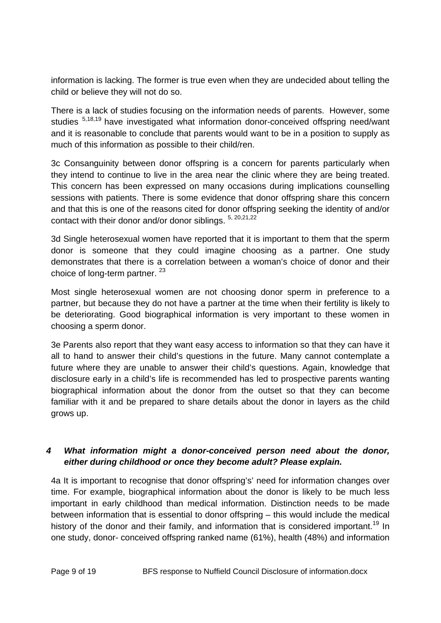information is lacking. The former is true even when they are undecided about telling the child or believe they will not do so.

There is a lack of studies focusing on the information needs of parents. However, some studies <sup>5,18,19</sup> have investigated what information donor-conceived offspring need/want and it is reasonable to conclude that parents would want to be in a position to supply as much of this information as possible to their child/ren.

3c Consanguinity between donor offspring is a concern for parents particularly when they intend to continue to live in the area near the clinic where they are being treated. This concern has been expressed on many occasions during implications counselling sessions with patients. There is some evidence that donor offspring share this concern and that this is one of the reasons cited for donor offspring seeking the identity of and/or contact with their donor and/or donor siblings.  $5, 20,21,22$ 

3d Single heterosexual women have reported that it is important to them that the sperm donor is someone that they could imagine choosing as a partner. One study demonstrates that there is a correlation between a woman's choice of donor and their choice of long-term partner.  $23$ 

Most single heterosexual women are not choosing donor sperm in preference to a partner, but because they do not have a partner at the time when their fertility is likely to be deteriorating. Good biographical information is very important to these women in choosing a sperm donor.

3e Parents also report that they want easy access to information so that they can have it all to hand to answer their child's questions in the future. Many cannot contemplate a future where they are unable to answer their child's questions. Again, knowledge that disclosure early in a child's life is recommended has led to prospective parents wanting biographical information about the donor from the outset so that they can become familiar with it and be prepared to share details about the donor in layers as the child grows up.

# *4 What information might a donor-conceived person need about the donor, either during childhood or once they become adult? Please explain.*

4a It is important to recognise that donor offspring's' need for information changes over time. For example, biographical information about the donor is likely to be much less important in early childhood than medical information. Distinction needs to be made between information that is essential to donor offspring – this would include the medical history of the donor and their family, and information that is considered important.<sup>19</sup> In one study, donor- conceived offspring ranked name (61%), health (48%) and information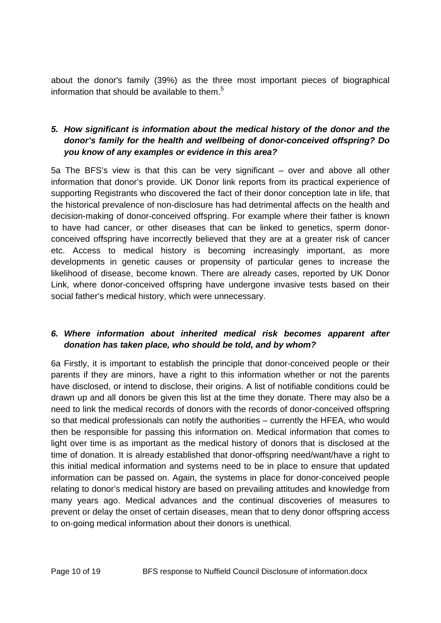about the donor's family (39%) as the three most important pieces of biographical information that should be available to them. $5$ 

# *5. How significant is information about the medical history of the donor and the donor's family for the health and wellbeing of donor-conceived offspring? Do you know of any examples or evidence in this area?*

5a The BFS's view is that this can be very significant – over and above all other information that donor's provide. UK Donor link reports from its practical experience of supporting Registrants who discovered the fact of their donor conception late in life, that the historical prevalence of non-disclosure has had detrimental affects on the health and decision-making of donor-conceived offspring. For example where their father is known to have had cancer, or other diseases that can be linked to genetics, sperm donorconceived offspring have incorrectly believed that they are at a greater risk of cancer etc. Access to medical history is becoming increasingly important, as more developments in genetic causes or propensity of particular genes to increase the likelihood of disease, become known. There are already cases, reported by UK Donor Link, where donor-conceived offspring have undergone invasive tests based on their social father's medical history, which were unnecessary.

# *6. Where information about inherited medical risk becomes apparent after donation has taken place, who should be told, and by whom?*

6a Firstly, it is important to establish the principle that donor-conceived people or their parents if they are minors, have a right to this information whether or not the parents have disclosed, or intend to disclose, their origins. A list of notifiable conditions could be drawn up and all donors be given this list at the time they donate. There may also be a need to link the medical records of donors with the records of donor-conceived offspring so that medical professionals can notify the authorities – currently the HFEA, who would then be responsible for passing this information on. Medical information that comes to light over time is as important as the medical history of donors that is disclosed at the time of donation. It is already established that donor-offspring need/want/have a right to this initial medical information and systems need to be in place to ensure that updated information can be passed on. Again, the systems in place for donor-conceived people relating to donor's medical history are based on prevailing attitudes and knowledge from many years ago. Medical advances and the continual discoveries of measures to prevent or delay the onset of certain diseases, mean that to deny donor offspring access to on-going medical information about their donors is unethical.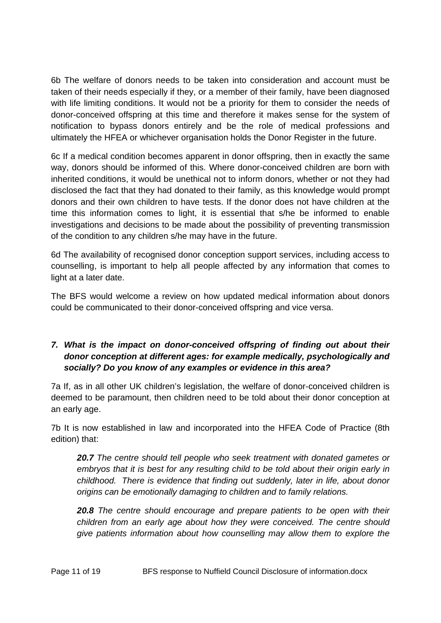6b The welfare of donors needs to be taken into consideration and account must be taken of their needs especially if they, or a member of their family, have been diagnosed with life limiting conditions. It would not be a priority for them to consider the needs of donor-conceived offspring at this time and therefore it makes sense for the system of notification to bypass donors entirely and be the role of medical professions and ultimately the HFEA or whichever organisation holds the Donor Register in the future.

6c If a medical condition becomes apparent in donor offspring, then in exactly the same way, donors should be informed of this. Where donor-conceived children are born with inherited conditions, it would be unethical not to inform donors, whether or not they had disclosed the fact that they had donated to their family, as this knowledge would prompt donors and their own children to have tests. If the donor does not have children at the time this information comes to light, it is essential that s/he be informed to enable investigations and decisions to be made about the possibility of preventing transmission of the condition to any children s/he may have in the future.

6d The availability of recognised donor conception support services, including access to counselling, is important to help all people affected by any information that comes to light at a later date.

The BFS would welcome a review on how updated medical information about donors could be communicated to their donor-conceived offspring and vice versa.

# *7. What is the impact on donor-conceived offspring of finding out about their donor conception at different ages: for example medically, psychologically and socially? Do you know of any examples or evidence in this area?*

7a If, as in all other UK children's legislation, the welfare of donor-conceived children is deemed to be paramount, then children need to be told about their donor conception at an early age.

7b It is now established in law and incorporated into the HFEA Code of Practice (8th edition) that:

*20.7 The centre should tell people who seek treatment with donated gametes or embryos that it is best for any resulting child to be told about their origin early in childhood. There is evidence that finding out suddenly, later in life, about donor origins can be emotionally damaging to children and to family relations.* 

*20.8 The centre should encourage and prepare patients to be open with their children from an early age about how they were conceived. The centre should give patients information about how counselling may allow them to explore the*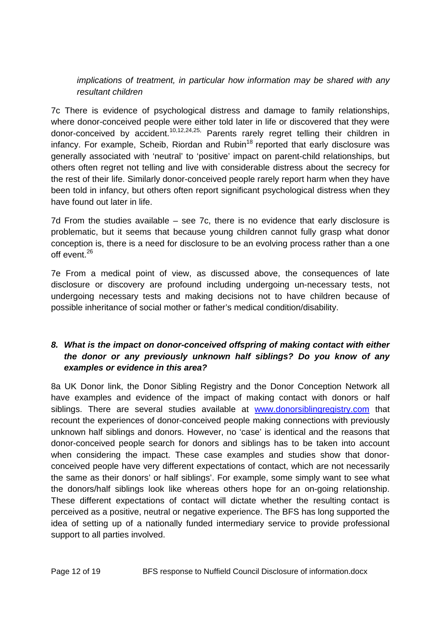*implications of treatment, in particular how information may be shared with any resultant children* 

7c There is evidence of psychological distress and damage to family relationships, where donor-conceived people were either told later in life or discovered that they were donor-conceived by accident.<sup>10,12,24,25,</sup> Parents rarely regret telling their children in infancy. For example, Scheib, Riordan and Rubin $18$  reported that early disclosure was generally associated with 'neutral' to 'positive' impact on parent-child relationships, but others often regret not telling and live with considerable distress about the secrecy for the rest of their life. Similarly donor-conceived people rarely report harm when they have been told in infancy, but others often report significant psychological distress when they have found out later in life.

7d From the studies available – see 7c, there is no evidence that early disclosure is problematic, but it seems that because young children cannot fully grasp what donor conception is, there is a need for disclosure to be an evolving process rather than a one off event.<sup>26</sup>

7e From a medical point of view, as discussed above, the consequences of late disclosure or discovery are profound including undergoing un-necessary tests, not undergoing necessary tests and making decisions not to have children because of possible inheritance of social mother or father's medical condition/disability.

# *8. What is the impact on donor-conceived offspring of making contact with either the donor or any previously unknown half siblings? Do you know of any examples or evidence in this area?*

8a UK Donor link, the Donor Sibling Registry and the Donor Conception Network all have examples and evidence of the impact of making contact with donors or half siblings. There are several studies available at www.donorsiblingregistry.com that recount the experiences of donor-conceived people making connections with previously unknown half siblings and donors. However, no 'case' is identical and the reasons that donor-conceived people search for donors and siblings has to be taken into account when considering the impact. These case examples and studies show that donorconceived people have very different expectations of contact, which are not necessarily the same as their donors' or half siblings'. For example, some simply want to see what the donors/half siblings look like whereas others hope for an on-going relationship. These different expectations of contact will dictate whether the resulting contact is perceived as a positive, neutral or negative experience. The BFS has long supported the idea of setting up of a nationally funded intermediary service to provide professional support to all parties involved.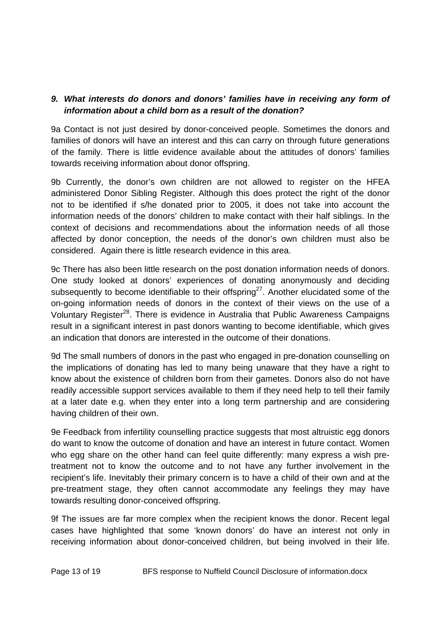#### *9. What interests do donors and donors' families have in receiving any form of information about a child born as a result of the donation?*

9a Contact is not just desired by donor-conceived people. Sometimes the donors and families of donors will have an interest and this can carry on through future generations of the family. There is little evidence available about the attitudes of donors' families towards receiving information about donor offspring.

9b Currently, the donor's own children are not allowed to register on the HFEA administered Donor Sibling Register. Although this does protect the right of the donor not to be identified if s/he donated prior to 2005, it does not take into account the information needs of the donors' children to make contact with their half siblings. In the context of decisions and recommendations about the information needs of all those affected by donor conception, the needs of the donor's own children must also be considered. Again there is little research evidence in this area.

9c There has also been little research on the post donation information needs of donors. One study looked at donors' experiences of donating anonymously and deciding subsequently to become identifiable to their offspring<sup>27</sup>. Another elucidated some of the on-going information needs of donors in the context of their views on the use of a Voluntary Register<sup>28</sup>. There is evidence in Australia that Public Awareness Campaigns result in a significant interest in past donors wanting to become identifiable, which gives an indication that donors are interested in the outcome of their donations.

9d The small numbers of donors in the past who engaged in pre-donation counselling on the implications of donating has led to many being unaware that they have a right to know about the existence of children born from their gametes. Donors also do not have readily accessible support services available to them if they need help to tell their family at a later date e.g. when they enter into a long term partnership and are considering having children of their own.

9e Feedback from infertility counselling practice suggests that most altruistic egg donors do want to know the outcome of donation and have an interest in future contact. Women who egg share on the other hand can feel quite differently: many express a wish pretreatment not to know the outcome and to not have any further involvement in the recipient's life. Inevitably their primary concern is to have a child of their own and at the pre-treatment stage, they often cannot accommodate any feelings they may have towards resulting donor-conceived offspring.

9f The issues are far more complex when the recipient knows the donor. Recent legal cases have highlighted that some 'known donors' do have an interest not only in receiving information about donor-conceived children, but being involved in their life.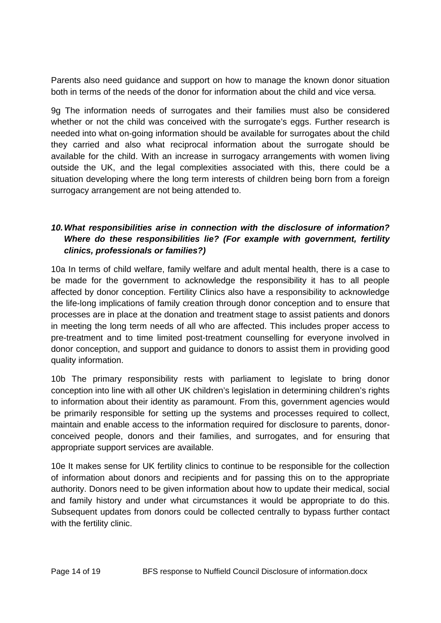Parents also need guidance and support on how to manage the known donor situation both in terms of the needs of the donor for information about the child and vice versa.

9g The information needs of surrogates and their families must also be considered whether or not the child was conceived with the surrogate's eggs. Further research is needed into what on-going information should be available for surrogates about the child they carried and also what reciprocal information about the surrogate should be available for the child. With an increase in surrogacy arrangements with women living outside the UK, and the legal complexities associated with this, there could be a situation developing where the long term interests of children being born from a foreign surrogacy arrangement are not being attended to.

# *10. What responsibilities arise in connection with the disclosure of information? Where do these responsibilities lie? (For example with government, fertility clinics, professionals or families?)*

10a In terms of child welfare, family welfare and adult mental health, there is a case to be made for the government to acknowledge the responsibility it has to all people affected by donor conception. Fertility Clinics also have a responsibility to acknowledge the life-long implications of family creation through donor conception and to ensure that processes are in place at the donation and treatment stage to assist patients and donors in meeting the long term needs of all who are affected. This includes proper access to pre-treatment and to time limited post-treatment counselling for everyone involved in donor conception, and support and guidance to donors to assist them in providing good quality information.

10b The primary responsibility rests with parliament to legislate to bring donor conception into line with all other UK children's legislation in determining children's rights to information about their identity as paramount. From this, government agencies would be primarily responsible for setting up the systems and processes required to collect, maintain and enable access to the information required for disclosure to parents, donorconceived people, donors and their families, and surrogates, and for ensuring that appropriate support services are available.

10e It makes sense for UK fertility clinics to continue to be responsible for the collection of information about donors and recipients and for passing this on to the appropriate authority. Donors need to be given information about how to update their medical, social and family history and under what circumstances it would be appropriate to do this. Subsequent updates from donors could be collected centrally to bypass further contact with the fertility clinic.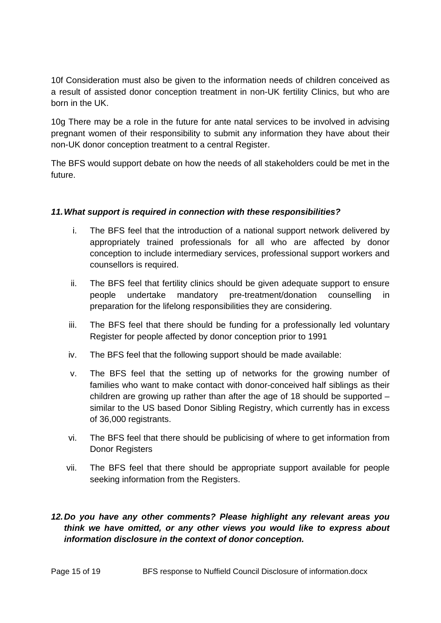10f Consideration must also be given to the information needs of children conceived as a result of assisted donor conception treatment in non-UK fertility Clinics, but who are born in the UK.

10g There may be a role in the future for ante natal services to be involved in advising pregnant women of their responsibility to submit any information they have about their non-UK donor conception treatment to a central Register.

The BFS would support debate on how the needs of all stakeholders could be met in the future.

#### *11. What support is required in connection with these responsibilities?*

- i. The BFS feel that the introduction of a national support network delivered by appropriately trained professionals for all who are affected by donor conception to include intermediary services, professional support workers and counsellors is required.
- ii. The BFS feel that fertility clinics should be given adequate support to ensure people undertake mandatory pre-treatment/donation counselling in preparation for the lifelong responsibilities they are considering.
- iii. The BFS feel that there should be funding for a professionally led voluntary Register for people affected by donor conception prior to 1991
- iv. The BFS feel that the following support should be made available:
- v. The BFS feel that the setting up of networks for the growing number of families who want to make contact with donor-conceived half siblings as their children are growing up rather than after the age of 18 should be supported – similar to the US based Donor Sibling Registry, which currently has in excess of 36,000 registrants.
- vi. The BFS feel that there should be publicising of where to get information from Donor Registers
- vii. The BFS feel that there should be appropriate support available for people seeking information from the Registers.

# *12. Do you have any other comments? Please highlight any relevant areas you think we have omitted, or any other views you would like to express about information disclosure in the context of donor conception.*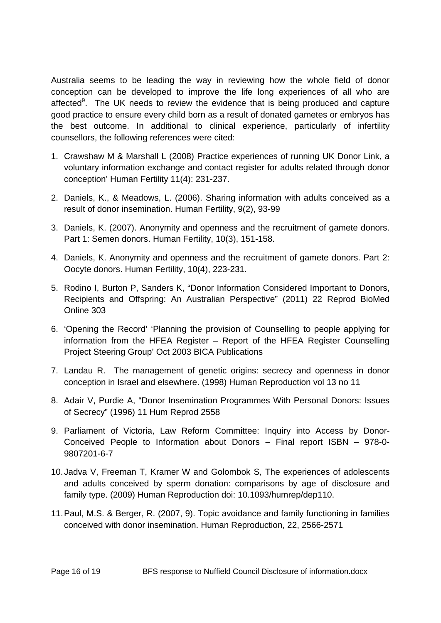Australia seems to be leading the way in reviewing how the whole field of donor conception can be developed to improve the life long experiences of all who are affected<sup>9</sup>. The UK needs to review the evidence that is being produced and capture good practice to ensure every child born as a result of donated gametes or embryos has the best outcome. In additional to clinical experience, particularly of infertility counsellors, the following references were cited:

- 1. Crawshaw M & Marshall L (2008) Practice experiences of running UK Donor Link, a voluntary information exchange and contact register for adults related through donor conception' Human Fertility 11(4): 231-237.
- 2. Daniels, K., & Meadows, L. (2006). Sharing information with adults conceived as a result of donor insemination. Human Fertility, 9(2), 93-99
- 3. Daniels, K. (2007). Anonymity and openness and the recruitment of gamete donors. Part 1: Semen donors. Human Fertility, 10(3), 151-158.
- 4. Daniels, K. Anonymity and openness and the recruitment of gamete donors. Part 2: Oocyte donors. Human Fertility, 10(4), 223-231.
- 5. Rodino I, Burton P, Sanders K, "Donor Information Considered Important to Donors, Recipients and Offspring: An Australian Perspective" (2011) 22 Reprod BioMed Online 303
- 6. 'Opening the Record' 'Planning the provision of Counselling to people applying for information from the HFEA Register – Report of the HFEA Register Counselling Project Steering Group' Oct 2003 BICA Publications
- 7. Landau R. The management of genetic origins: secrecy and openness in donor conception in Israel and elsewhere. (1998) Human Reproduction vol 13 no 11
- 8. Adair V, Purdie A, "Donor Insemination Programmes With Personal Donors: Issues of Secrecy" (1996) 11 Hum Reprod 2558
- 9. Parliament of Victoria, Law Reform Committee: Inquiry into Access by Donor-Conceived People to Information about Donors – Final report ISBN – 978-0- 9807201-6-7
- 10. Jadva V, Freeman T, Kramer W and Golombok S, The experiences of adolescents and adults conceived by sperm donation: comparisons by age of disclosure and family type. (2009) Human Reproduction doi: 10.1093/humrep/dep110.
- 11. Paul, M.S. & Berger, R. (2007, 9). Topic avoidance and family functioning in families conceived with donor insemination. Human Reproduction, 22, 2566-2571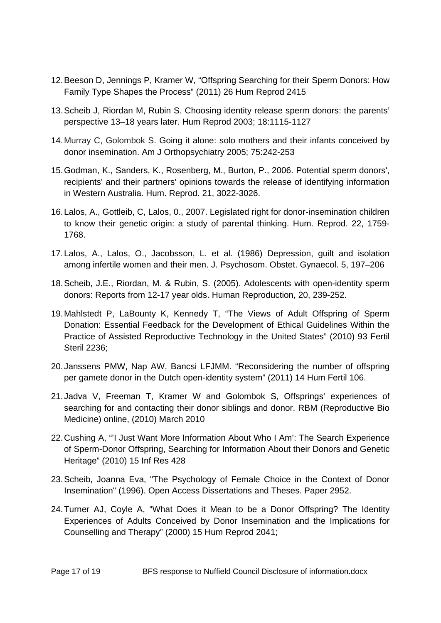- 12. Beeson D, Jennings P, Kramer W, "Offspring Searching for their Sperm Donors: How Family Type Shapes the Process" (2011) 26 Hum Reprod 2415
- 13. Scheib J, Riordan M, Rubin S. Choosing identity release sperm donors: the parents' perspective 13–18 years later. Hum Reprod 2003; 18:1115-1127
- 14. Murray C, Golombok S. Going it alone: solo mothers and their infants conceived by donor insemination. Am J Orthopsychiatry 2005; 75:242-253
- 15. Godman, K., Sanders, K., Rosenberg, M., Burton, P., 2006. Potential sperm donors', recipients' and their partners' opinions towards the release of identifying information in Western Australia. Hum. Reprod. 21, 3022-3026.
- 16. Lalos, A., Gottleib, C, Lalos, 0., 2007. Legislated right for donor-insemination children to know their genetic origin: a study of parental thinking. Hum. Reprod. 22, 1759- 1768.
- 17. Lalos, A., Lalos, O., Jacobsson, L. et al. (1986) Depression, guilt and isolation among infertile women and their men. J. Psychosom. Obstet. Gynaecol. 5, 197–206
- 18. Scheib, J.E., Riordan, M. & Rubin, S. (2005). Adolescents with open-identity sperm donors: Reports from 12-17 year olds. Human Reproduction, 20, 239-252.
- 19. Mahlstedt P, LaBounty K, Kennedy T, "The Views of Adult Offspring of Sperm Donation: Essential Feedback for the Development of Ethical Guidelines Within the Practice of Assisted Reproductive Technology in the United States" (2010) 93 Fertil Steril 2236;
- 20. Janssens PMW, Nap AW, Bancsi LFJMM. "Reconsidering the number of offspring per gamete donor in the Dutch open-identity system" (2011) 14 Hum Fertil 106.
- 21. Jadva V, Freeman T, Kramer W and Golombok S, Offsprings' experiences of searching for and contacting their donor siblings and donor. RBM (Reproductive Bio Medicine) online, (2010) March 2010
- 22. Cushing A, "'I Just Want More Information About Who I Am': The Search Experience of Sperm-Donor Offspring, Searching for Information About their Donors and Genetic Heritage" (2010) 15 Inf Res 428
- 23. Scheib, Joanna Eva, "The Psychology of Female Choice in the Context of Donor Insemination" (1996). Open Access Dissertations and Theses. Paper 2952.
- 24. Turner AJ, Coyle A, "What Does it Mean to be a Donor Offspring? The Identity Experiences of Adults Conceived by Donor Insemination and the Implications for Counselling and Therapy" (2000) 15 Hum Reprod 2041;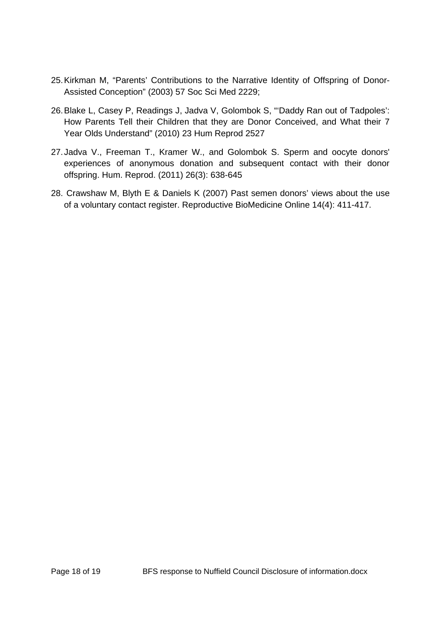- 25. Kirkman M, "Parents' Contributions to the Narrative Identity of Offspring of Donor-Assisted Conception" (2003) 57 Soc Sci Med 2229;
- 26. Blake L, Casey P, Readings J, Jadva V, Golombok S, "'Daddy Ran out of Tadpoles': How Parents Tell their Children that they are Donor Conceived, and What their 7 Year Olds Understand" (2010) 23 Hum Reprod 2527
- 27. Jadva V., Freeman T., Kramer W., and Golombok S. Sperm and oocyte donors' experiences of anonymous donation and subsequent contact with their donor offspring. Hum. Reprod. (2011) 26(3): 638-645
- 28. Crawshaw M, Blyth E & Daniels K (2007) Past semen donors' views about the use of a voluntary contact register. Reproductive BioMedicine Online 14(4): 411-417.